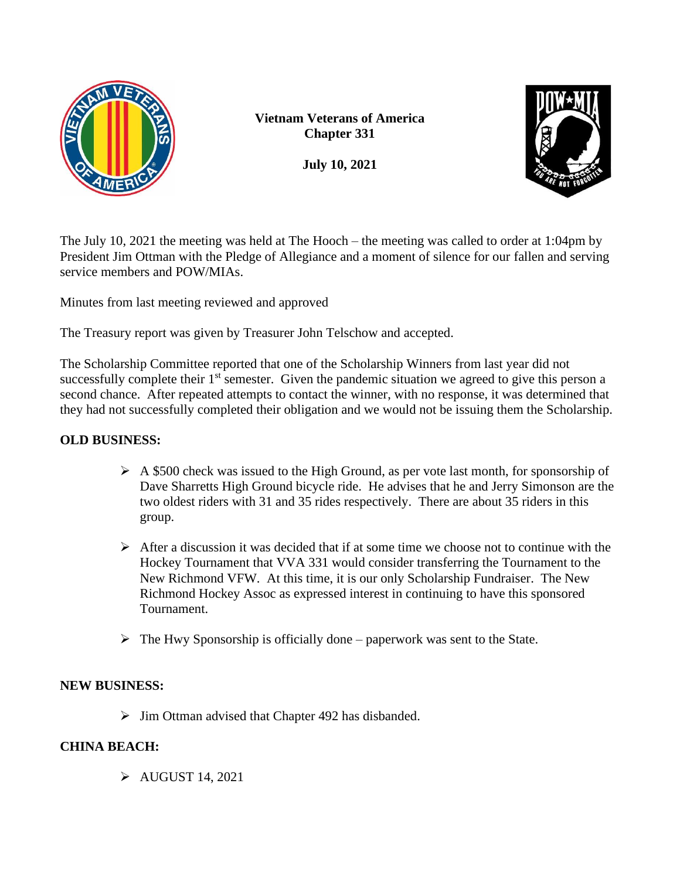

**Vietnam Veterans of America Chapter 331**

**July 10, 2021**



The July 10, 2021 the meeting was held at The Hooch – the meeting was called to order at 1:04pm by President Jim Ottman with the Pledge of Allegiance and a moment of silence for our fallen and serving service members and POW/MIAs.

Minutes from last meeting reviewed and approved

The Treasury report was given by Treasurer John Telschow and accepted.

The Scholarship Committee reported that one of the Scholarship Winners from last year did not successfully complete their 1<sup>st</sup> semester. Given the pandemic situation we agreed to give this person a second chance. After repeated attempts to contact the winner, with no response, it was determined that they had not successfully completed their obligation and we would not be issuing them the Scholarship.

## **OLD BUSINESS:**

- $\triangleright$  A \$500 check was issued to the High Ground, as per vote last month, for sponsorship of Dave Sharretts High Ground bicycle ride. He advises that he and Jerry Simonson are the two oldest riders with 31 and 35 rides respectively. There are about 35 riders in this group.
- $\triangleright$  After a discussion it was decided that if at some time we choose not to continue with the Hockey Tournament that VVA 331 would consider transferring the Tournament to the New Richmond VFW. At this time, it is our only Scholarship Fundraiser. The New Richmond Hockey Assoc as expressed interest in continuing to have this sponsored Tournament.
- $\triangleright$  The Hwy Sponsorship is officially done paperwork was sent to the State.

## **NEW BUSINESS:**

 $\triangleright$  Jim Ottman advised that Chapter 492 has disbanded.

## **CHINA BEACH:**

➢ AUGUST 14, 2021